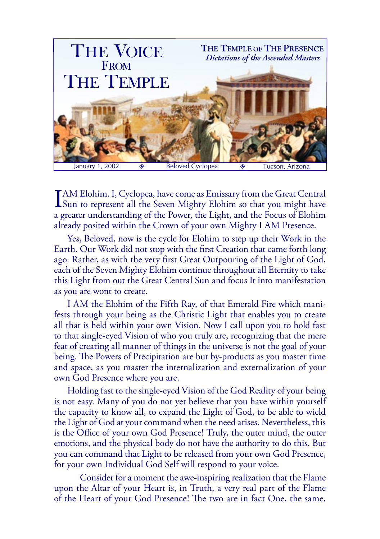

I AM Elohim. I, Cyclopea, have come as Emissary from the Great Central<br>Sun to represent all the Seven Mighty Elohim so that you might have a greater understanding of the Power, the Light, and the Focus of Elohim already posited within the Crown of your own Mighty I AM Presence.

Yes, Beloved, now is the cycle for Elohim to step up their Work in the Earth. Our Work did not stop with the first Creation that came forth long ago. Rather, as with the very first Great Outpouring of the Light of God, each of the Seven Mighty Elohim continue throughout all Eternity to take this Light from out the Great Central Sun and focus It into manifestation as you are wont to create.

I AM the Elohim of the Fifth Ray, of that Emerald Fire which manifests through your being as the Christic Light that enables you to create all that is held within your own Vision. Now I call upon you to hold fast to that single-eyed Vision of who you truly are, recognizing that the mere feat of creating all manner of things in the universe is not the goal of your being. The Powers of Precipitation are but by-products as you master time and space, as you master the internalization and externalization of your own God Presence where you are.

Holding fast to the single-eyed Vision of the God Reality of your being is not easy. Many of you do not yet believe that you have within yourself the capacity to know all, to expand the Light of God, to be able to wield the Light of God at your command when the need arises. Nevertheless, this is the Office of your own God Presence! Truly, the outer mind, the outer emotions, and the physical body do not have the authority to do this. But you can command that Light to be released from your own God Presence, for your own Individual God Self will respond to your voice.

Consider for a moment the awe-inspiring realization that the Flame upon the Altar of your Heart is, in Truth, a very real part of the Flame of the Heart of your God Presence! The two are in fact One, the same,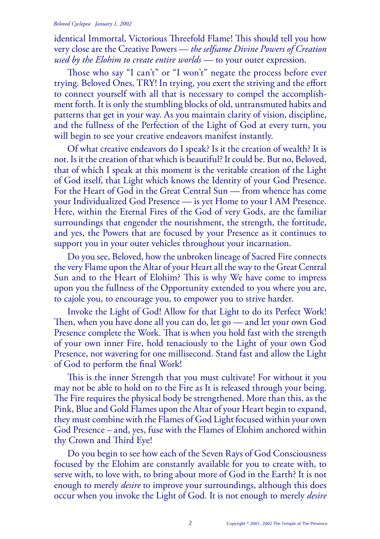## *Beloved Cyclopea January 1, 2002*

identical Immortal, Victorious Threefold Flame! This should tell you how very close are the Creative Powers — *the selfsame Divine Powers of Creation used by the Elohim to create entire worlds* — to your outer expression.

Those who say "I can't" or "I won't" negate the process before ever trying. Beloved Ones, TRY! In trying, you exert the striving and the effort to connect yourself with all that is necessary to compel the accomplishment forth. It is only the stumbling blocks of old, untransmuted habits and patterns that get in your way. As you maintain clarity of vision, discipline, and the fullness of the Perfection of the Light of God at every turn, you will begin to see your creative endeavors manifest instantly.

Of what creative endeavors do I speak? Is it the creation of wealth? It is not. Is it the creation of that which is beautiful? It could be. But no, Beloved, that of which I speak at this moment is the veritable creation of the Light of God itself, that Light which knows the Identity of your God Presence. For the Heart of God in the Great Central Sun — from whence has come your Individualized God Presence — is yet Home to your I AM Presence. Here, within the Eternal Fires of the God of very Gods, are the familiar surroundings that engender the nourishment, the strength, the fortitude, and yes, the Powers that are focused by your Presence as it continues to support you in your outer vehicles throughout your incarnation.

Do you see, Beloved, how the unbroken lineage of Sacred Fire connects the very Flame upon the Altar of your Heart all the way to the Great Central Sun and to the Heart of Elohim? This is why We have come to impress upon you the fullness of the Opportunity extended to you where you are, to cajole you, to encourage you, to empower you to strive harder.

Invoke the Light of God! Allow for that Light to do its Perfect Work! Then, when you have done all you can do, let go — and let your own God Presence complete the Work. That is when you hold fast with the strength of your own inner Fire, hold tenaciously to the Light of your own God Presence, not wavering for one millisecond. Stand fast and allow the Light of God to perform the final Work!

This is the inner Strength that you must cultivate! For without it you may not be able to hold on to the Fire as It is released through your being. The Fire requires the physical body be strengthened. More than this, as the Pink, Blue and Gold Flames upon the Altar of your Heart begin to expand, they must combine with the Flames of God Light focused within your own God Presence – and, yes, fuse with the Flames of Elohim anchored within thy Crown and Third Eye!

Do you begin to see how each of the Seven Rays of God Consciousness focused by the Elohim are constantly available for you to create with, to serve with, to love with, to bring about more of God in the Earth? It is not enough to merely *desire* to improve your surroundings, although this does occur when you invoke the Light of God. It is not enough to merely *desire*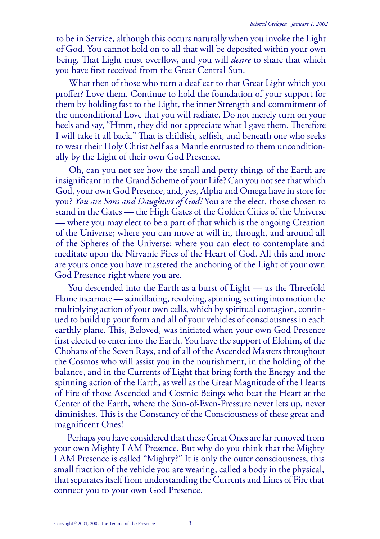to be in Service, although this occurs naturally when you invoke the Light of God. You cannot hold on to all that will be deposited within your own being. That Light must overflow, and you will *desire* to share that which you have first received from the Great Central Sun.

What then of those who turn a deaf ear to that Great Light which you proffer? Love them. Continue to hold the foundation of your support for them by holding fast to the Light, the inner Strength and commitment of the unconditional Love that you will radiate. Do not merely turn on your heels and say, "Hmm, they did not appreciate what I gave them. Therefore I will take it all back." That is childish, selfish, and beneath one who seeks to wear their Holy Christ Self as a Mantle entrusted to them unconditionally by the Light of their own God Presence.

Oh, can you not see how the small and petty things of the Earth are insignificant in the Grand Scheme of your Life? Can you not see that which God, your own God Presence, and, yes, Alpha and Omega have in store for you? *You are Sons and Daughters of God!* You are the elect, those chosen to stand in the Gates — the High Gates of the Golden Cities of the Universe — where you may elect to be a part of that which is the ongoing Creation of the Universe; where you can move at will in, through, and around all of the Spheres of the Universe; where you can elect to contemplate and meditate upon the Nirvanic Fires of the Heart of God. All this and more are yours once you have mastered the anchoring of the Light of your own God Presence right where you are.

You descended into the Earth as a burst of  $Light - as$  the Threefold Flame incarnate — scintillating, revolving, spinning, setting into motion the multiplying action of your own cells, which by spiritual contagion, continued to build up your form and all of your vehicles of consciousness in each earthly plane. This, Beloved, was initiated when your own God Presence first elected to enter into the Earth. You have the support of Elohim, of the Chohans of the Seven Rays, and of all of the Ascended Masters throughout the Cosmos who will assist you in the nourishment, in the holding of the balance, and in the Currents of Light that bring forth the Energy and the spinning action of the Earth, as well as the Great Magnitude of the Hearts of Fire of those Ascended and Cosmic Beings who beat the Heart at the Center of the Earth, where the Sun-of-Even-Pressure never lets up, never diminishes. This is the Constancy of the Consciousness of these great and magnificent Ones!

Perhaps you have considered that these Great Ones are far removed from your own Mighty I AM Presence. But why do you think that the Mighty I AM Presence is called "Mighty?" It is only the outer consciousness, this small fraction of the vehicle you are wearing, called a body in the physical, that separates itself from understanding the Currents and Lines of Fire that connect you to your own God Presence.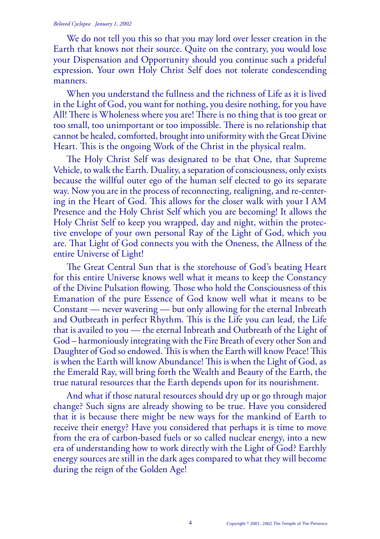## *Beloved Cyclopea January 1, 2002*

We do not tell you this so that you may lord over lesser creation in the Earth that knows not their source. Quite on the contrary, you would lose your Dispensation and Opportunity should you continue such a prideful expression. Your own Holy Christ Self does not tolerate condescending manners.

When you understand the fullness and the richness of Life as it is lived in the Light of God, you want for nothing, you desire nothing, for you have All! There is Wholeness where you are! There is no thing that is too great or too small, too unimportant or too impossible. There is no relationship that cannot be healed, comforted, brought into uniformity with the Great Divine Heart. This is the ongoing Work of the Christ in the physical realm.

The Holy Christ Self was designated to be that One, that Supreme Vehicle, to walk the Earth. Duality, a separation of consciousness, only exists because the willful outer ego of the human self elected to go its separate way. Now you are in the process of reconnecting, realigning, and re-centering in the Heart of God. This allows for the closer walk with your I AM Presence and the Holy Christ Self which you are becoming! It allows the Holy Christ Self to keep you wrapped, day and night, within the protective envelope of your own personal Ray of the Light of God, which you are. That Light of God connects you with the Oneness, the Allness of the entire Universe of Light!

The Great Central Sun that is the storehouse of God's beating Heart for this entire Universe knows well what it means to keep the Constancy of the Divine Pulsation flowing. Those who hold the Consciousness of this Emanation of the pure Essence of God know well what it means to be Constant — never wavering — but only allowing for the eternal Inbreath and Outbreath in perfect Rhythm. This is the Life you can lead, the Life that is availed to you — the eternal Inbreath and Outbreath of the Light of God – harmoniously integrating with the Fire Breath of every other Son and Daughter of God so endowed. This is when the Earth will know Peace! This is when the Earth will know Abundance! This is when the Light of God, as the Emerald Ray, will bring forth the Wealth and Beauty of the Earth, the true natural resources that the Earth depends upon for its nourishment.

And what if those natural resources should dry up or go through major change? Such signs are already showing to be true. Have you considered that it is because there might be new ways for the mankind of Earth to receive their energy? Have you considered that perhaps it is time to move from the era of carbon-based fuels or so called nuclear energy, into a new era of understanding how to work directly with the Light of God? Earthly energy sources are still in the dark ages compared to what they will become during the reign of the Golden Age!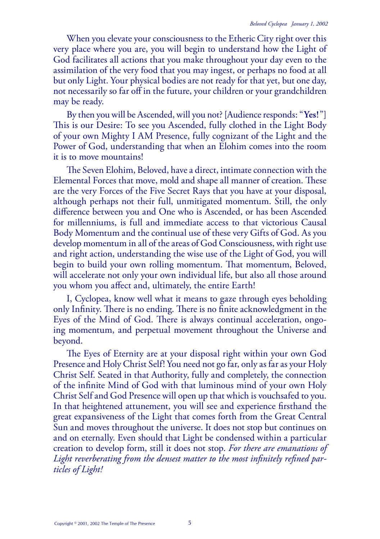When you elevate your consciousness to the Etheric City right over this very place where you are, you will begin to understand how the Light of God facilitates all actions that you make throughout your day even to the assimilation of the very food that you may ingest, or perhaps no food at all but only Light. Your physical bodies are not ready for that yet, but one day, not necessarily so far off in the future, your children or your grandchildren may be ready.

By then you will be Ascended, will you not? [Audience responds: "**Yes!**"] This is our Desire: To see you Ascended, fully clothed in the Light Body of your own Mighty I AM Presence, fully cognizant of the Light and the Power of God, understanding that when an Elohim comes into the room it is to move mountains!

The Seven Elohim, Beloved, have a direct, intimate connection with the Elemental Forces that move, mold and shape all manner of creation. These are the very Forces of the Five Secret Rays that you have at your disposal, although perhaps not their full, unmitigated momentum. Still, the only difference between you and One who is Ascended, or has been Ascended for millenniums, is full and immediate access to that victorious Causal Body Momentum and the continual use of these very Gifts of God. As you develop momentum in all of the areas of God Consciousness, with right use and right action, understanding the wise use of the Light of God, you will begin to build your own rolling momentum. That momentum, Beloved, will accelerate not only your own individual life, but also all those around you whom you affect and, ultimately, the entire Earth!

I, Cyclopea, know well what it means to gaze through eyes beholding only Infinity. There is no ending. There is no finite acknowledgment in the Eyes of the Mind of God. There is always continual acceleration, ongoing momentum, and perpetual movement throughout the Universe and beyond.

The Eyes of Eternity are at your disposal right within your own God Presence and Holy Christ Self! You need not go far, only as far as your Holy Christ Self. Seated in that Authority, fully and completely, the connection of the infinite Mind of God with that luminous mind of your own Holy Christ Self and God Presence will open up that which is vouchsafed to you. In that heightened attunement, you will see and experience firsthand the great expansiveness of the Light that comes forth from the Great Central Sun and moves throughout the universe. It does not stop but continues on and on eternally. Even should that Light be condensed within a particular creation to develop form, still it does not stop. *For there are emanations of Light reverberating from the densest matter to the most infinitely refined particles of Light!*